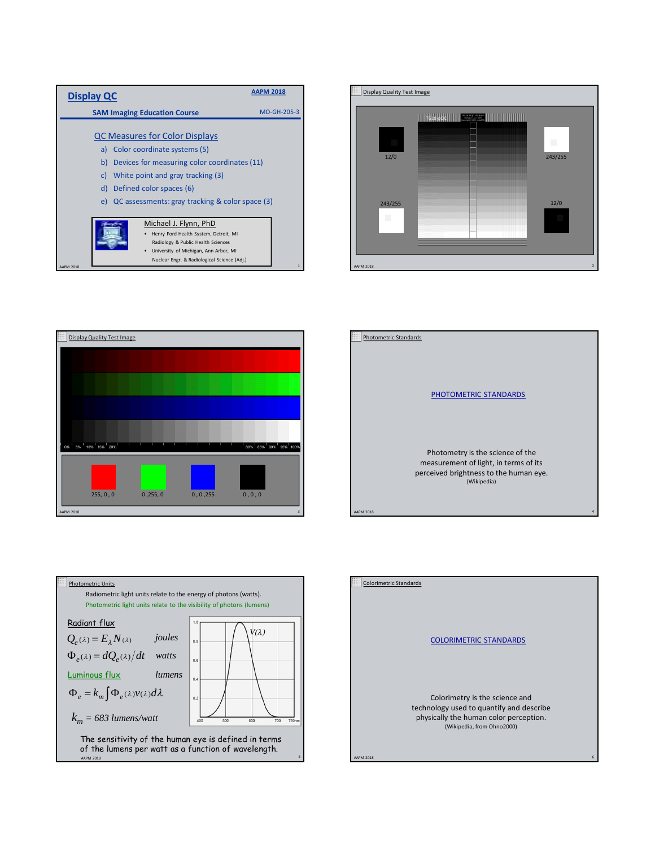

Nuclear Engr. & Radiological Science (Adj.)

AAPM 2018 **1999 1999 1999 1999 1999 1999 10:00 10:00 10:00 10:00 10:00 10:00 10:00 10:00 10:00 10:00 10:00 10:00 10:00 10:00 10:00 10:00 10:00 10:00 10:00 10:00 10:00 10:00 10:00 10:00 10:00 10:00 10:00 10:00 10:00 10:00 1** 









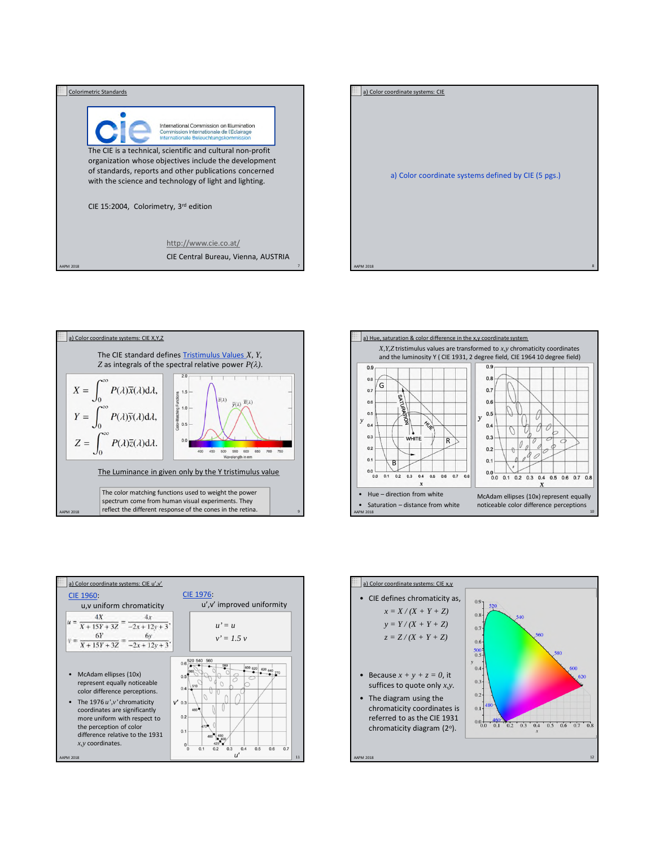









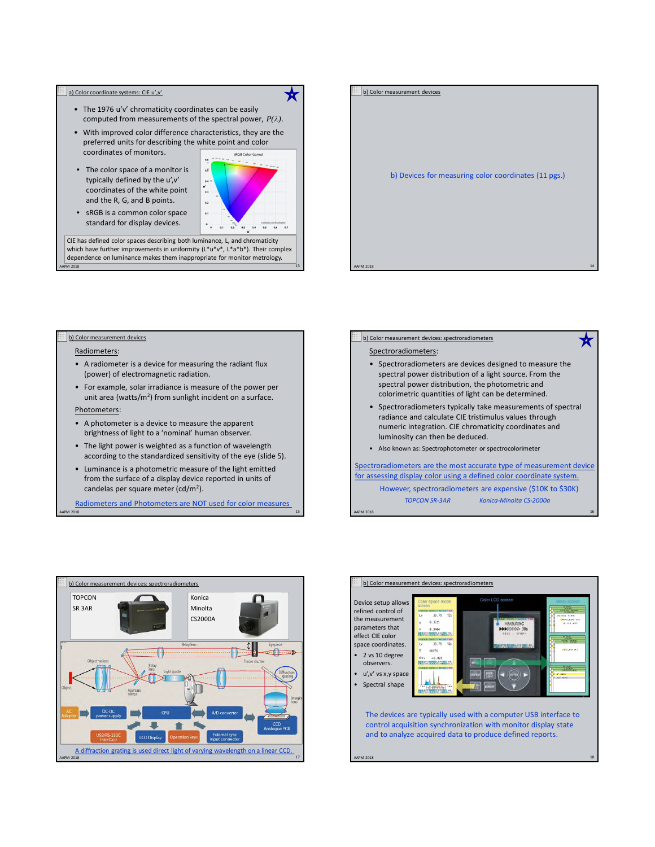### a) Color coordinate systems: CIE u',v'

- The 1976 u'v' chromaticity coordinates can be easily computed from measurements of the spectral power,  $P(\lambda)$ .
- With improved color difference characteristics, they are the preferred units for describing the white point and color coordinates of monitors.
- The color space of a monitor is typically defined by the u',v' coordinates of the white point and the R, G, and B points.



╈

• sRGB is a common color space standard for display devices.

 $\,$  AAPM 2018  $\,$   $\,$  13  $\,$   $\,$  13  $\,$   $\,$  13  $\,$   $\,$  13  $\,$   $\,$  13  $\,$   $\,$  13  $\,$  13  $\,$  13  $\,$  13  $\,$  13  $\,$  13  $\,$  13  $\,$  13  $\,$  13  $\,$  13  $\,$  13  $\,$  13  $\,$  13  $\,$  13  $\,$  13  $\,$  13  $\,$  13 CIE has defined color spaces describing both luminance, L, and chromaticity which have further improvements in uniformity (L\*u\*v\*, L\*a\*b\*). Their complex dependence on luminance makes them inappropriate for monitor metrology.

# b) Devices for measuring color coordinates (11 pgs.) b) Color measurement devices

AAPM 2018 14

# b) Color measurement devices

# Radiometers:

- A radiometer is a device for measuring the radiant flux (power) of electromagnetic radiation.
- For example, solar irradiance is measure of the power per unit area (watts/m<sup>2</sup>) from sunlight incident on a surface.

# Photometers:

- A photometer is a device to measure the apparent brightness of light to a 'nominal' human observer.
- The light power is weighted as a function of wavelength according to the standardized sensitivity of the eye (slide 5).
- Luminance is a photometric measure of the light emitted from the surface of a display device reported in units of candelas per square meter (cd/m<sup>2</sup>).

AAPM 2018 15 September 2018 15 September 2018 15 September 2018 15 September 2018 15 September 2018 15 Septemb Radiometers and Photometers are NOT used for color measures

# b) Color measurement devices: spectroradiometers

### Spectroradiometers:

• Spectroradiometers are devices designed to measure the spectral power distribution of a light source. From the spectral power distribution, the photometric and colorimetric quantities of light can be determined.

★

- Spectroradiometers typically take measurements of spectral radiance and calculate CIE tristimulus values through numeric integration. CIE chromaticity coordinates and luminosity can then be deduced.
- Also known as: Spectrophotometer or spectrocolorimeter

Spectroradiometers are the most accurate type of measurement device for assessing display color using a defined color coordinate system.

However, spectroradiometers are expensive (\$10K to \$30K) *TOPCON SR-3AR Konica-Minolta CS-2000a*

AAPM 2018 16





AAPM 2018 18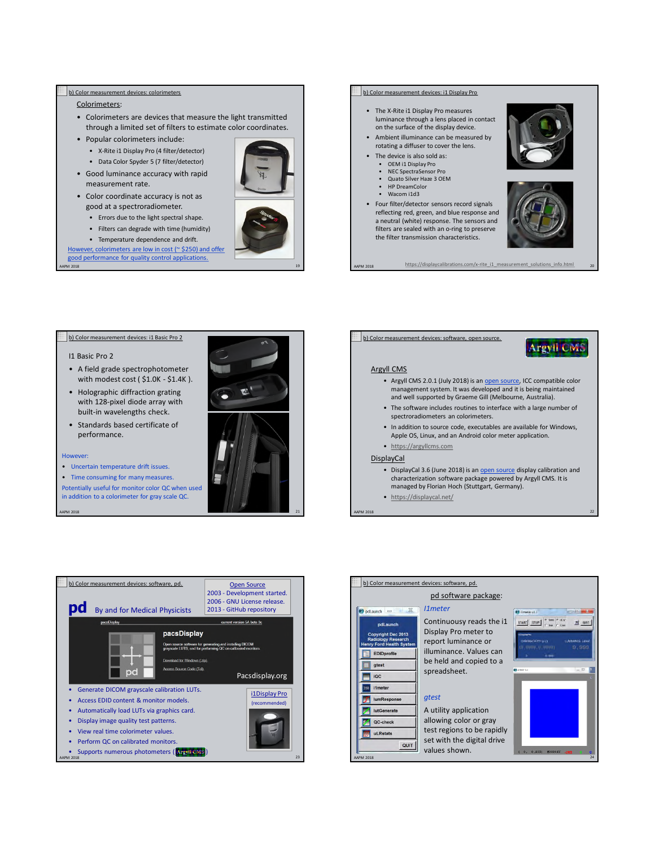# b) Color measurement devices: colorimeters

# Colorimeters:

- Colorimeters are devices that measure the light transmitted through a limited set of filters to estimate color coordinates.
- Popular colorimeters include:
	- X-Rite i1 Display Pro (4 filter/detector)
	- Data Color Spyder 5 (7 filter/detector)
- Good luminance accuracy with rapid measurement rate.
- Color coordinate accuracy is not as good at a spectroradiometer.
	- Errors due to the light spectral shape.
	- Filters can degrade with time (humidity)
	- Temperature dependence and drift.

AAPM 2018 19 However, colorimeters are low in cost (~ \$250) and offer good performance for quality control applications.



### b) Color measurement devices: i1 Display Pro

- The X-Rite i1 Display Pro measures luminance through a lens placed in contact on the surface of the display device.
- Ambient illuminance can be measured by rotating a diffuser to cover the lens.
	- The device is also sold as:
	- OEM i1 Display Pro
	- NEC SpectraSensor Pro • Quato Silver Haze 3 OEM
	- HP DreamColor
	- Wacom i1d3
- Four filter/detector sensors record signals reflecting red, green, and blue response and a neutral (white) response. The sensors and filters are sealed with an o-ring to preserve the filter transmission characteristics.

https://displaycalibrations.com/x-rite\_i1\_measurement\_solutions\_info.html

### b) Color measurement devices: i1 Basic Pro 2

### I1 Basic Pro 2

- A field grade spectrophotometer with modest cost ( \$1.0K - \$1.4K ).
- Holographic diffraction grating with 128-pixel diode array with built-in wavelengths check.
- Standards based certificate of performance.

### However:

- Uncertain temperature drift issues.
- Time consuming for many measures.

Potentially useful for monitor color QC when used in addition to a colorimeter for gray scale QC.



# b) Color measurement devices: software, open source.

### Argyll CMS

• Argyll CMS 2.0.1 (July 2018) is an open source, ICC compatible color management system. It was developed and it is being maintained and well supported by Graeme Gill (Melbourne, Australia).

**Argyll CMS** 

- The software includes routines to interface with a large number of spectroradiometers an colorimeters.
- In addition to source code, executables are available for Windows, Apple OS, Linux, and an Android color meter application.
- https://argyllcms.com

### DisplayCal

- DisplayCal 3.6 (June 2018) is an open source display calibration and characterization software package powered by Argyll CMS. It is managed by Florian Hoch (Stuttgart, Germany).
- https://displaycal.net/

AAPM 2018 22



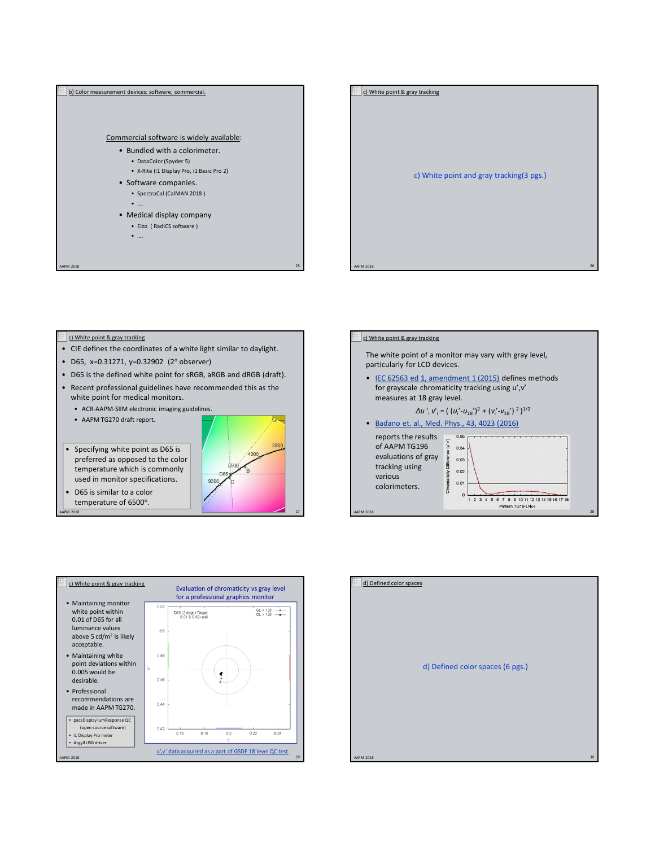



### c) White point & gray tracking

- CIE defines the coordinates of a white light similar to daylight.
- D65, x=0.31271, y=0.32902 (2° observer)
- D65 is the defined white point for sRGB, aRGB and dRGB (draft).
- Recent professional guidelines have recommended this as the white point for medical monitors.

AAPM 2018 27

- ACR-AAPM-SIIM electronic imaging guidelines.
- AAPM TG270 draft report.

• Specifying white point as D65 is preferred as opposed to the color temperature which is commonly used in monitor specifications.

300  $400t$  $5500$ -D6 9300

ö.

• D65 is similar to a color temperature of 6500°.



The white point of a monitor may vary with gray level,

c) White point & gray tracking



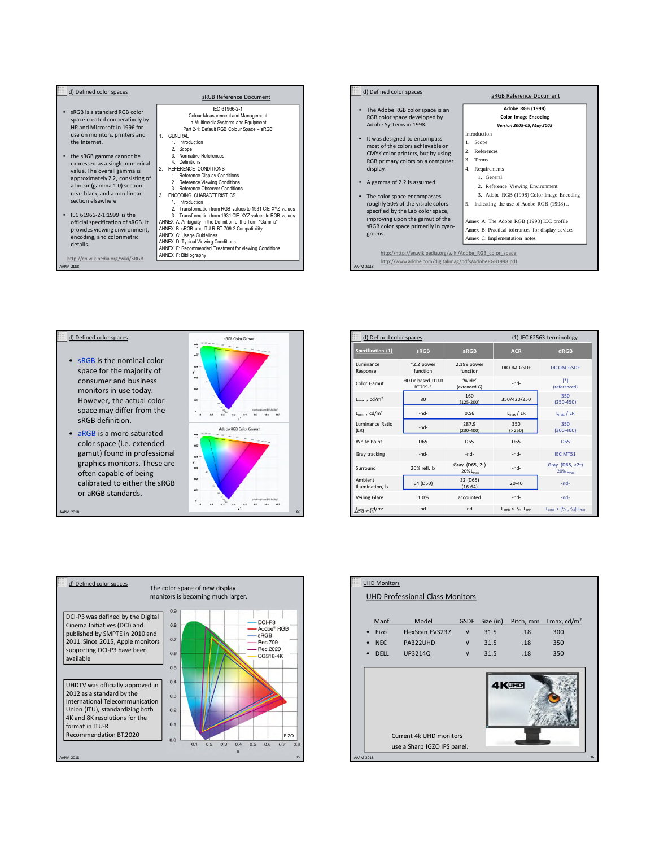





| d) Defined color spaces              |                              |                                        |                                     | (1) IEC 62563 terminology               |
|--------------------------------------|------------------------------|----------------------------------------|-------------------------------------|-----------------------------------------|
| Specification (1)                    | <b>SRGB</b>                  | aRGB                                   | <b>ACR</b>                          | dRGB                                    |
| Luminance<br>Response                | $~2.2$ power<br>function     | 2.199 power<br>function                | DICOM GSDE                          | DICOM GSDE                              |
| Color Gamut                          | HDTV based ITU-R<br>BT.709-5 | 'Wide'<br>(extended G)                 | -nd-                                | [<br>(referenced)                       |
| $L_{\text{max}}$ , cd/m <sup>2</sup> | 80                           | 160<br>$(125-200)$                     | 350/420/250                         | 350<br>$(250 - 450)$                    |
| $L_{min}$ , cd/m <sup>2</sup>        | -nd-                         | 0.56                                   | $L_{\text{max}}/LR$                 | $L_{max}$ / LR                          |
| Luminance Ratio<br>(LR)              | -nd-                         | 287.9<br>$(230 - 400)$                 | 350<br>( > 250)                     | 350<br>$(300-400)$                      |
| White Point                          | <b>D65</b>                   | <b>D65</b>                             | D65                                 | D65                                     |
| Gray tracking                        | -nd-                         | -nd-                                   | $-nd-$                              | IFC MT51                                |
| Surround                             | 20% refl. lx                 | Gray (D65, 2°)<br>20% L <sub>max</sub> | $-nd-$                              | Gray (D65, >2°)<br>20% L <sub>max</sub> |
| Ambient<br>Illumination, lx          | 64 (D50)                     | 32 (D65)<br>$(16-64)$                  | $20 - 40$                           | -nd-                                    |
| Veiling Glare                        | 1.0%                         | accounted                              | $-nd-$                              | $-nd-$                                  |
| A神神 2018/m <sup>2</sup>              | -nd-                         | -nd-                                   | $L_{amb}$ < $\frac{1}{4}$ $L_{min}$ | $L_{amb} < [1/4, 2/3] L_{min}$          |



|             | <b>UHD Monitors</b>                        | <b>UHD Professional Class Monitors</b>                 |                                                       |                                   |                                |                                    |    |
|-------------|--------------------------------------------|--------------------------------------------------------|-------------------------------------------------------|-----------------------------------|--------------------------------|------------------------------------|----|
| iB          | Manf.<br>Eizo<br><b>NEC</b><br><b>DELL</b> | Model<br>FlexScan EV3237<br>PA322UHD<br>UP3214Q        | <b>GSDF</b><br>$\sqrt{ }$<br>$\sqrt{ }$<br>$\sqrt{ }$ | Size (in)<br>31.5<br>31.5<br>31.5 | Pitch, mm<br>.18<br>.18<br>.18 | Lmax, $cd/m2$<br>300<br>350<br>350 |    |
| EIZO<br>0.8 |                                            | Current 4k UHD monitors<br>use a Sharp IGZO IPS panel. |                                                       |                                   | 4KUHD                          |                                    |    |
| 35          | <b>AAPM 2018</b>                           |                                                        |                                                       |                                   |                                |                                    | 36 |